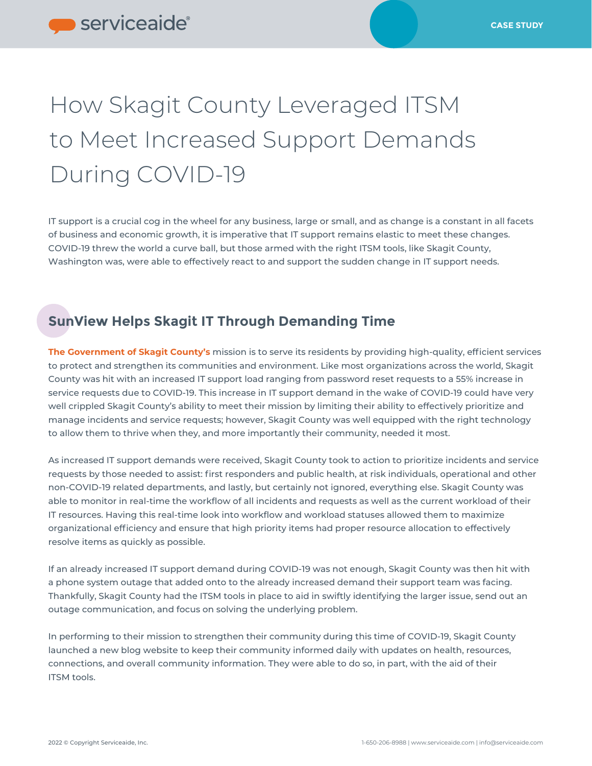## How Skagit County Leveraged ITSM to Meet Increased Support Demands During COVID-19

IT support is a crucial cog in the wheel for any business, large or small, and as change is a constant in all facets of business and economic growth, it is imperative that IT support remains elastic to meet these changes. COVID-19 threw the world a curve ball, but those armed with the right ITSM tools, like Skagit County, Washington was, were able to effectively react to and support the sudden change in IT support needs.

## **SunView Helps Skagit IT Through Demanding Time**

**[The Government of Skagit County's](https://www.skagitcounty.net/Departments/Home)** mission is to serve its residents by providing high-quality, efficient services to protect and strengthen its communities and environment. Like most organizations across the world, Skagit County was hit with an increased IT support load ranging from password reset requests to a 55% increase in service requests due to COVID-19. This increase in IT support demand in the wake of COVID-19 could have very well crippled Skagit County's ability to meet their mission by limiting their ability to effectively prioritize and manage incidents and service requests; however, Skagit County was well equipped with the right technology to allow them to thrive when they, and more importantly their community, needed it most.

As increased IT support demands were received, Skagit County took to action to prioritize incidents and service requests by those needed to assist: first responders and public health, at risk individuals, operational and other non-COVID-19 related departments, and lastly, but certainly not ignored, everything else. Skagit County was able to monitor in real-time the workflow of all incidents and requests as well as the current workload of their IT resources. Having this real-time look into workflow and workload statuses allowed them to maximize organizational efficiency and ensure that high priority items had proper resource allocation to effectively resolve items as quickly as possible.

If an already increased IT support demand during COVID-19 was not enough, Skagit County was then hit with a phone system outage that added onto to the already increased demand their support team was facing. Thankfully, Skagit County had the ITSM tools in place to aid in swiftly identifying the larger issue, send out an outage communication, and focus on solving the underlying problem.

In performing to their mission to strengthen their community during this time of COVID-19, Skagit County launched a new blog website to keep their community informed daily with updates on health, resources, connections, and overall community information. They were able to do so, in part, with the aid of their ITSM tools.